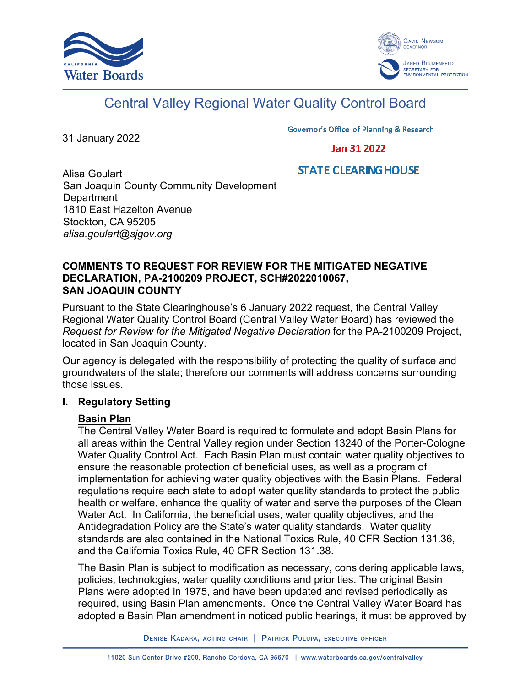



# Central Valley Regional Water Quality Control Board

31 January 2022

**Governor's Office of Planning & Research** 

## Jan 31 2022

# **STATE CLEARING HOUSE**

Alisa Goulart San Joaquin County Community Development **Department** 1810 East Hazelton Avenue Stockton, CA 95205 *alisa.goulart@sjgov.org*

#### **COMMENTS TO REQUEST FOR REVIEW FOR THE MITIGATED NEGATIVE DECLARATION, PA-2100209 PROJECT, SCH#2022010067, SAN JOAQUIN COUNTY**

Pursuant to the State Clearinghouse's 6 January 2022 request, the Central Valley Regional Water Quality Control Board (Central Valley Water Board) has reviewed the *Request for Review for the Mitigated Negative Declaration* for the PA-2100209 Project, located in San Joaquin County.

Our agency is delegated with the responsibility of protecting the quality of surface and groundwaters of the state; therefore our comments will address concerns surrounding those issues.

#### **I. Regulatory Setting**

# **Basin Plan**

The Central Valley Water Board is required to formulate and adopt Basin Plans for all areas within the Central Valley region under Section 13240 of the Porter-Cologne Water Quality Control Act. Each Basin Plan must contain water quality objectives to ensure the reasonable protection of beneficial uses, as well as a program of implementation for achieving water quality objectives with the Basin Plans. Federal regulations require each state to adopt water quality standards to protect the public health or welfare, enhance the quality of water and serve the purposes of the Clean Water Act. In California, the beneficial uses, water quality objectives, and the Antidegradation Policy are the State's water quality standards. Water quality standards are also contained in the National Toxics Rule, 40 CFR Section 131.36, and the California Toxics Rule, 40 CFR Section 131.38.

The Basin Plan is subject to modification as necessary, considering applicable laws, policies, technologies, water quality conditions and priorities. The original Basin Plans were adopted in 1975, and have been updated and revised periodically as required, using Basin Plan amendments. Once the Central Valley Water Board has adopted a Basin Plan amendment in noticed public hearings, it must be approved by

DENISE KADARA, ACTING CHAIR | PATRICK PULUPA, EXECUTIVE OFFICER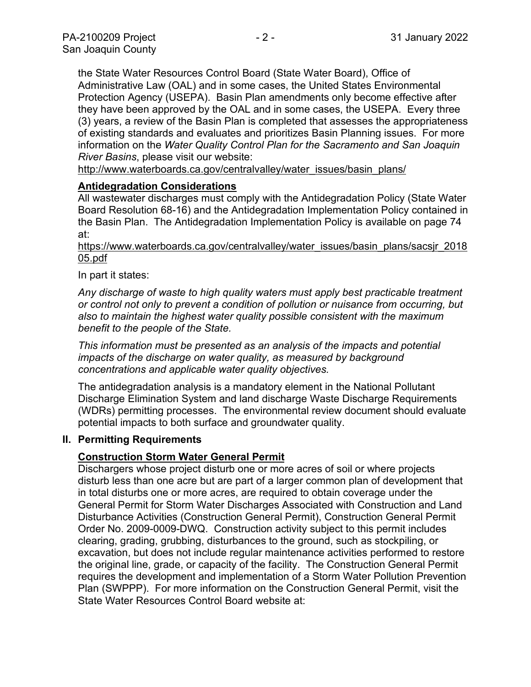the State Water Resources Control Board (State Water Board), Office of Administrative Law (OAL) and in some cases, the United States Environmental Protection Agency (USEPA). Basin Plan amendments only become effective after they have been approved by the OAL and in some cases, the USEPA. Every three (3) years, a review of the Basin Plan is completed that assesses the appropriateness of existing standards and evaluates and prioritizes Basin Planning issues. For more information on the *Water Quality Control Plan for the Sacramento and San Joaquin River Basins*, please visit our website:

[http://www.waterboards.ca.gov/centralvalley/water\\_issues/basin\\_plans/](http://www.waterboards.ca.gov/centralvalley/water_issues/basin_plans/)

## **Antidegradation Considerations**

All wastewater discharges must comply with the Antidegradation Policy (State Water Board Resolution 68-16) and the Antidegradation Implementation Policy contained in the Basin Plan. The Antidegradation Implementation Policy is available on page 74 at:

#### https://www.waterboards.ca.gov/centralvalley/water\_issues/basin\_plans/sacsjr\_2018 05.pdf

## In part it states:

*Any discharge of waste to high quality waters must apply best practicable treatment or control not only to prevent a condition of pollution or nuisance from occurring, but also to maintain the highest water quality possible consistent with the maximum benefit to the people of the State.*

*This information must be presented as an analysis of the impacts and potential impacts of the discharge on water quality, as measured by background concentrations and applicable water quality objectives.*

The antidegradation analysis is a mandatory element in the National Pollutant Discharge Elimination System and land discharge Waste Discharge Requirements (WDRs) permitting processes. The environmental review document should evaluate potential impacts to both surface and groundwater quality.

#### **II. Permitting Requirements**

# **Construction Storm Water General Permit**

Dischargers whose project disturb one or more acres of soil or where projects disturb less than one acre but are part of a larger common plan of development that in total disturbs one or more acres, are required to obtain coverage under the General Permit for Storm Water Discharges Associated with Construction and Land Disturbance Activities (Construction General Permit), Construction General Permit Order No. 2009-0009-DWQ. Construction activity subject to this permit includes clearing, grading, grubbing, disturbances to the ground, such as stockpiling, or excavation, but does not include regular maintenance activities performed to restore the original line, grade, or capacity of the facility. The Construction General Permit requires the development and implementation of a Storm Water Pollution Prevention Plan (SWPPP). For more information on the Construction General Permit, visit the State Water Resources Control Board website at: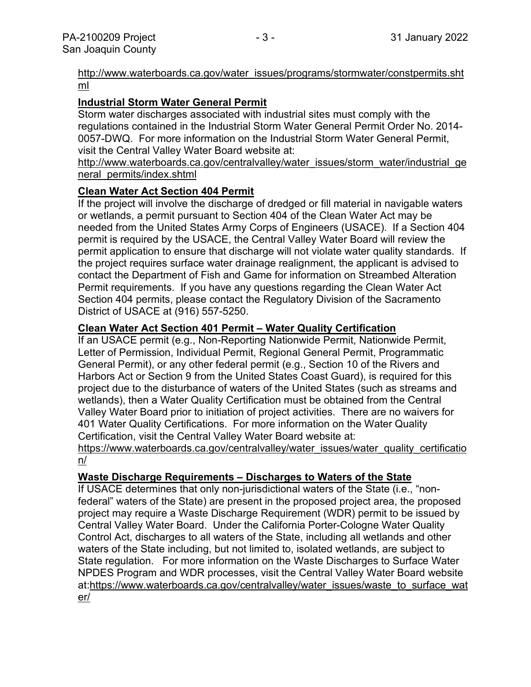## [http://www.waterboards.ca.gov/water\\_issues/programs/stormwater/constpermits.sht](http://www.waterboards.ca.gov/water_issues/programs/stormwater/constpermits.shtml) [ml](http://www.waterboards.ca.gov/water_issues/programs/stormwater/constpermits.shtml)

# **Industrial Storm Water General Permit**

Storm water discharges associated with industrial sites must comply with the regulations contained in the Industrial Storm Water General Permit Order No. 2014- 0057-DWQ. For more information on the Industrial Storm Water General Permit, visit the Central Valley Water Board website at:

http://www.waterboards.ca.gov/centralvalley/water\_issues/storm\_water/industrial\_ge neral\_permits/index.shtml

## **Clean Water Act Section 404 Permit**

If the project will involve the discharge of dredged or fill material in navigable waters or wetlands, a permit pursuant to Section 404 of the Clean Water Act may be needed from the United States Army Corps of Engineers (USACE). If a Section 404 permit is required by the USACE, the Central Valley Water Board will review the permit application to ensure that discharge will not violate water quality standards. If the project requires surface water drainage realignment, the applicant is advised to contact the Department of Fish and Game for information on Streambed Alteration Permit requirements. If you have any questions regarding the Clean Water Act Section 404 permits, please contact the Regulatory Division of the Sacramento District of USACE at (916) 557-5250.

## **Clean Water Act Section 401 Permit – Water Quality Certification**

If an USACE permit (e.g., Non-Reporting Nationwide Permit, Nationwide Permit, Letter of Permission, Individual Permit, Regional General Permit, Programmatic General Permit), or any other federal permit (e.g., Section 10 of the Rivers and Harbors Act or Section 9 from the United States Coast Guard), is required for this project due to the disturbance of waters of the United States (such as streams and wetlands), then a Water Quality Certification must be obtained from the Central Valley Water Board prior to initiation of project activities. There are no waivers for 401 Water Quality Certifications. For more information on the Water Quality Certification, visit the Central Valley Water Board website at:

https://www.waterboards.ca.gov/centralvalley/water\_issues/water\_quality\_certificatio n/

# **Waste Discharge Requirements – Discharges to Waters of the State**

If USACE determines that only non-jurisdictional waters of the State (i.e., "nonfederal" waters of the State) are present in the proposed project area, the proposed project may require a Waste Discharge Requirement (WDR) permit to be issued by Central Valley Water Board. Under the California Porter-Cologne Water Quality Control Act, discharges to all waters of the State, including all wetlands and other waters of the State including, but not limited to, isolated wetlands, are subject to State regulation. For more information on the Waste Discharges to Surface Water NPDES Program and WDR processes, visit the Central Valley Water Board website at:https://www.waterboards.ca.gov/centralvalley/water\_issues/waste\_to\_surface\_wat er/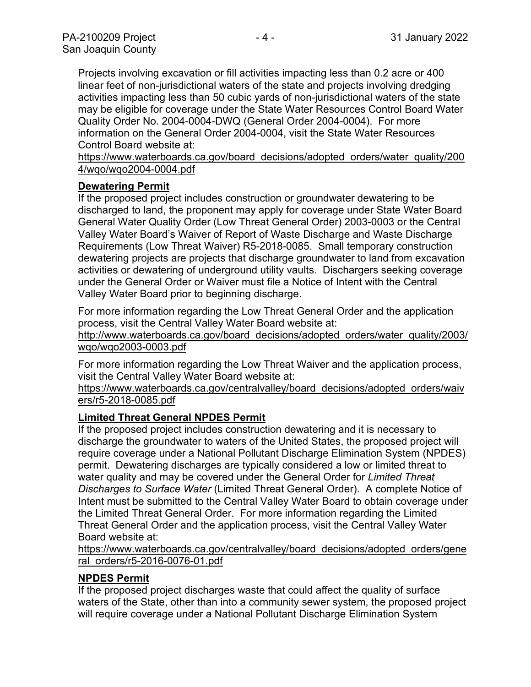Projects involving excavation or fill activities impacting less than 0.2 acre or 400 linear feet of non-jurisdictional waters of the state and projects involving dredging activities impacting less than 50 cubic yards of non-jurisdictional waters of the state may be eligible for coverage under the State Water Resources Control Board Water Quality Order No. 2004-0004-DWQ (General Order 2004-0004). For more information on the General Order 2004-0004, visit the State Water Resources Control Board website at:

https://www.waterboards.ca.gov/board\_decisions/adopted\_orders/water\_quality/200 4/wqo/wqo2004-0004.pdf

## **Dewatering Permit**

If the proposed project includes construction or groundwater dewatering to be discharged to land, the proponent may apply for coverage under State Water Board General Water Quality Order (Low Threat General Order) 2003-0003 or the Central Valley Water Board's Waiver of Report of Waste Discharge and Waste Discharge Requirements (Low Threat Waiver) R5-2018-0085. Small temporary construction dewatering projects are projects that discharge groundwater to land from excavation activities or dewatering of underground utility vaults. Dischargers seeking coverage under the General Order or Waiver must file a Notice of Intent with the Central Valley Water Board prior to beginning discharge.

For more information regarding the Low Threat General Order and the application process, visit the Central Valley Water Board website at:

http://www.waterboards.ca.gov/board decisions/adopted orders/water quality/2003/ wqo/wqo2003-0003.pdf

For more information regarding the Low Threat Waiver and the application process, visit the Central Valley Water Board website at:

https://www.waterboards.ca.gov/centralvalley/board\_decisions/adopted\_orders/waiv ers/r5-2018-0085.pdf

# **Limited Threat General NPDES Permit**

If the proposed project includes construction dewatering and it is necessary to discharge the groundwater to waters of the United States, the proposed project will require coverage under a National Pollutant Discharge Elimination System (NPDES) permit. Dewatering discharges are typically considered a low or limited threat to water quality and may be covered under the General Order for *Limited Threat Discharges to Surface Water* (Limited Threat General Order). A complete Notice of Intent must be submitted to the Central Valley Water Board to obtain coverage under the Limited Threat General Order. For more information regarding the Limited Threat General Order and the application process, visit the Central Valley Water Board website at:

https://www.waterboards.ca.gov/centralvalley/board\_decisions/adopted\_orders/gene ral\_orders/r5-2016-0076-01.pdf

# **NPDES Permit**

If the proposed project discharges waste that could affect the quality of surface waters of the State, other than into a community sewer system, the proposed project will require coverage under a National Pollutant Discharge Elimination System